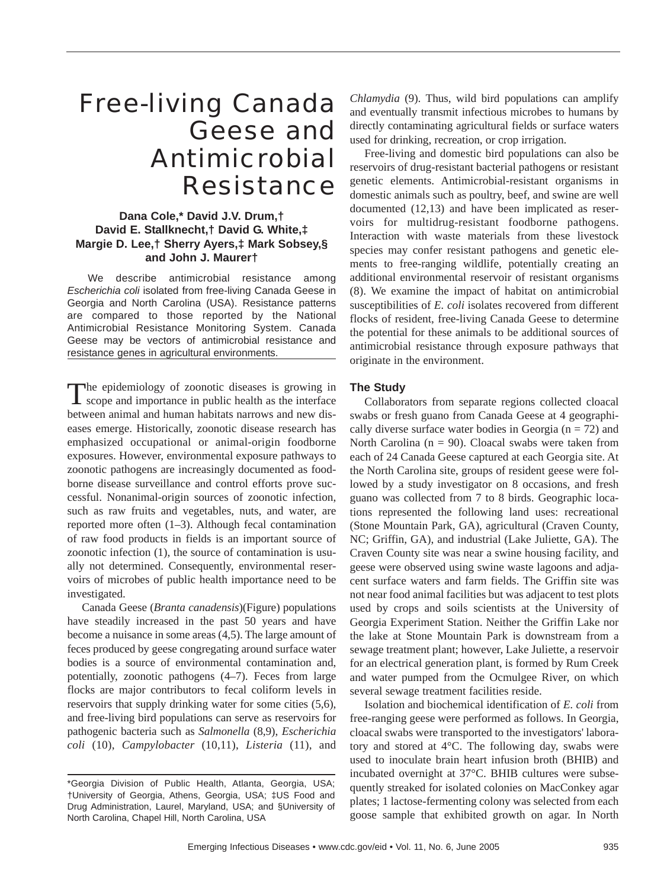# Free-living Canada Geese and Antimicrobial Resistance

## **Dana Cole,\* David J.V. Drum,† David E. Stallknecht,† David G. White,‡ Margie D. Lee,† Sherry Ayers,‡ Mark Sobsey,§ and John J. Maurer†**

We describe antimicrobial resistance among *Escherichia coli* isolated from free-living Canada Geese in Georgia and North Carolina (USA). Resistance patterns are compared to those reported by the National Antimicrobial Resistance Monitoring System. Canada Geese may be vectors of antimicrobial resistance and resistance genes in agricultural environments.

The epidemiology of zoonotic diseases is growing in scope and importance in public health as the interface between animal and human habitats narrows and new diseases emerge. Historically, zoonotic disease research has emphasized occupational or animal-origin foodborne exposures. However, environmental exposure pathways to zoonotic pathogens are increasingly documented as foodborne disease surveillance and control efforts prove successful. Nonanimal-origin sources of zoonotic infection, such as raw fruits and vegetables, nuts, and water, are reported more often (1–3). Although fecal contamination of raw food products in fields is an important source of zoonotic infection (1), the source of contamination is usually not determined. Consequently, environmental reservoirs of microbes of public health importance need to be investigated.

Canada Geese (*Branta canadensis*)(Figure) populations have steadily increased in the past 50 years and have become a nuisance in some areas (4,5). The large amount of feces produced by geese congregating around surface water bodies is a source of environmental contamination and, potentially, zoonotic pathogens (4–7). Feces from large flocks are major contributors to fecal coliform levels in reservoirs that supply drinking water for some cities (5,6), and free-living bird populations can serve as reservoirs for pathogenic bacteria such as *Salmonella* (8,9), *Escherichia coli* (10), *Campylobacter* (10,11), *Listeria* (11), and

*Chlamydia* (9). Thus, wild bird populations can amplify and eventually transmit infectious microbes to humans by directly contaminating agricultural fields or surface waters used for drinking, recreation, or crop irrigation.

Free-living and domestic bird populations can also be reservoirs of drug-resistant bacterial pathogens or resistant genetic elements. Antimicrobial-resistant organisms in domestic animals such as poultry, beef, and swine are well documented (12,13) and have been implicated as reservoirs for multidrug-resistant foodborne pathogens. Interaction with waste materials from these livestock species may confer resistant pathogens and genetic elements to free-ranging wildlife, potentially creating an additional environmental reservoir of resistant organisms (8). We examine the impact of habitat on antimicrobial susceptibilities of *E. coli* isolates recovered from different flocks of resident, free-living Canada Geese to determine the potential for these animals to be additional sources of antimicrobial resistance through exposure pathways that originate in the environment.

## **The Study**

Collaborators from separate regions collected cloacal swabs or fresh guano from Canada Geese at 4 geographically diverse surface water bodies in Georgia ( $n = 72$ ) and North Carolina ( $n = 90$ ). Cloacal swabs were taken from each of 24 Canada Geese captured at each Georgia site. At the North Carolina site, groups of resident geese were followed by a study investigator on 8 occasions, and fresh guano was collected from 7 to 8 birds. Geographic locations represented the following land uses: recreational (Stone Mountain Park, GA), agricultural (Craven County, NC; Griffin, GA), and industrial (Lake Juliette, GA). The Craven County site was near a swine housing facility, and geese were observed using swine waste lagoons and adjacent surface waters and farm fields. The Griffin site was not near food animal facilities but was adjacent to test plots used by crops and soils scientists at the University of Georgia Experiment Station. Neither the Griffin Lake nor the lake at Stone Mountain Park is downstream from a sewage treatment plant; however, Lake Juliette, a reservoir for an electrical generation plant, is formed by Rum Creek and water pumped from the Ocmulgee River, on which several sewage treatment facilities reside.

Isolation and biochemical identification of *E. coli* from free-ranging geese were performed as follows. In Georgia, cloacal swabs were transported to the investigators' laboratory and stored at 4°C. The following day, swabs were used to inoculate brain heart infusion broth (BHIB) and incubated overnight at 37°C. BHIB cultures were subsequently streaked for isolated colonies on MacConkey agar plates; 1 lactose-fermenting colony was selected from each goose sample that exhibited growth on agar. In North

<sup>\*</sup>Georgia Division of Public Health, Atlanta, Georgia, USA; †University of Georgia, Athens, Georgia, USA; ‡US Food and Drug Administration, Laurel, Maryland, USA; and §University of North Carolina, Chapel Hill, North Carolina, USA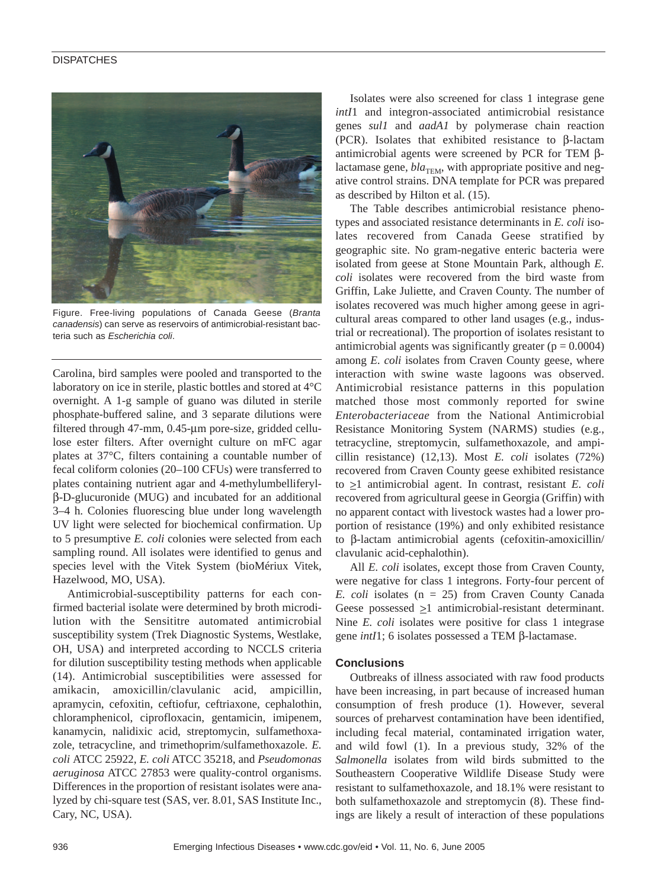#### **DISPATCHES**



Figure. Free-living populations of Canada Geese (*Branta canadensis*) can serve as reservoirs of antimicrobial-resistant bacteria such as *Escherichia coli*.

Carolina, bird samples were pooled and transported to the laboratory on ice in sterile, plastic bottles and stored at 4°C overnight. A 1-g sample of guano was diluted in sterile phosphate-buffered saline, and 3 separate dilutions were filtered through 47-mm, 0.45-µm pore-size, gridded cellulose ester filters. After overnight culture on mFC agar plates at 37°C, filters containing a countable number of fecal coliform colonies (20–100 CFUs) were transferred to plates containing nutrient agar and 4-methylumbelliferylβ-D-glucuronide (MUG) and incubated for an additional 3–4 h. Colonies fluorescing blue under long wavelength UV light were selected for biochemical confirmation. Up to 5 presumptive *E. coli* colonies were selected from each sampling round. All isolates were identified to genus and species level with the Vitek System (bioMériux Vitek, Hazelwood, MO, USA).

Antimicrobial-susceptibility patterns for each confirmed bacterial isolate were determined by broth microdilution with the Sensititre automated antimicrobial susceptibility system (Trek Diagnostic Systems, Westlake, OH, USA) and interpreted according to NCCLS criteria for dilution susceptibility testing methods when applicable (14). Antimicrobial susceptibilities were assessed for amikacin, amoxicillin/clavulanic acid, ampicillin, apramycin, cefoxitin, ceftiofur, ceftriaxone, cephalothin, chloramphenicol, ciprofloxacin, gentamicin, imipenem, kanamycin, nalidixic acid, streptomycin, sulfamethoxazole, tetracycline, and trimethoprim/sulfamethoxazole. *E. coli* ATCC 25922, *E. coli* ATCC 35218, and *Pseudomonas aeruginosa* ATCC 27853 were quality-control organisms. Differences in the proportion of resistant isolates were analyzed by chi-square test (SAS, ver. 8.01, SAS Institute Inc., Cary, NC, USA).

Isolates were also screened for class 1 integrase gene *intI*1 and integron-associated antimicrobial resistance genes *sul1* and *aadA1* by polymerase chain reaction (PCR). Isolates that exhibited resistance to β-lactam antimicrobial agents were screened by PCR for TEM βlactamase gene,  $bla_{\text{TEM}}$ , with appropriate positive and negative control strains. DNA template for PCR was prepared as described by Hilton et al. (15).

The Table describes antimicrobial resistance phenotypes and associated resistance determinants in *E. coli* isolates recovered from Canada Geese stratified by geographic site. No gram-negative enteric bacteria were isolated from geese at Stone Mountain Park, although *E. coli* isolates were recovered from the bird waste from Griffin, Lake Juliette, and Craven County. The number of isolates recovered was much higher among geese in agricultural areas compared to other land usages (e.g., industrial or recreational). The proportion of isolates resistant to antimicrobial agents was significantly greater ( $p = 0.0004$ ) among *E. coli* isolates from Craven County geese, where interaction with swine waste lagoons was observed. Antimicrobial resistance patterns in this population matched those most commonly reported for swine *Enterobacteriaceae* from the National Antimicrobial Resistance Monitoring System (NARMS) studies (e.g., tetracycline, streptomycin, sulfamethoxazole, and ampicillin resistance) (12,13). Most *E. coli* isolates (72%) recovered from Craven County geese exhibited resistance to  $\geq$ 1 antimicrobial agent. In contrast, resistant *E. coli* recovered from agricultural geese in Georgia (Griffin) with no apparent contact with livestock wastes had a lower proportion of resistance (19%) and only exhibited resistance to β-lactam antimicrobial agents (cefoxitin-amoxicillin/ clavulanic acid-cephalothin).

All *E. coli* isolates, except those from Craven County, were negative for class 1 integrons. Forty-four percent of *E. coli* isolates (n = 25) from Craven County Canada Geese possessed  $\geq 1$  antimicrobial-resistant determinant. Nine *E. coli* isolates were positive for class 1 integrase gene *intI*1; 6 isolates possessed a TEM β-lactamase.

#### **Conclusions**

Outbreaks of illness associated with raw food products have been increasing, in part because of increased human consumption of fresh produce (1). However, several sources of preharvest contamination have been identified, including fecal material, contaminated irrigation water, and wild fowl (1). In a previous study, 32% of the *Salmonella* isolates from wild birds submitted to the Southeastern Cooperative Wildlife Disease Study were resistant to sulfamethoxazole, and 18.1% were resistant to both sulfamethoxazole and streptomycin (8). These findings are likely a result of interaction of these populations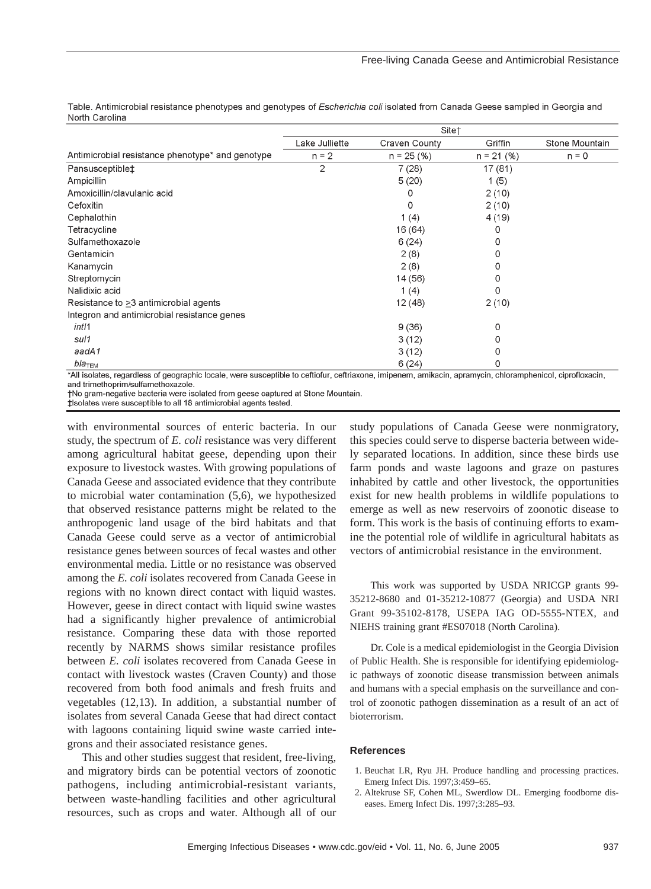|                                                  | S <sub>II</sub> |               |              |                |
|--------------------------------------------------|-----------------|---------------|--------------|----------------|
|                                                  | Lake Julliette  | Craven County | Griffin      | Stone Mountain |
| Antimicrobial resistance phenotype* and genotype | $n = 2$         | $n = 25(%)$   | $n = 21$ (%) | $n = 0$        |
| Pansusceptible <sup>+</sup>                      | 2               | 7(28)         | 17(81)       |                |
| Ampicillin                                       |                 | 5(20)         | 1(5)         |                |
| Amoxicillin/clavulanic acid                      |                 | 0             | 2(10)        |                |
| Cefoxitin                                        |                 | 0             | 2(10)        |                |
| Cephalothin                                      |                 | 1 $(4)$       | 4(19)        |                |
| Tetracycline                                     |                 | 16 (64)       | 0            |                |
| Sulfamethoxazole                                 |                 | 6(24)         | 0            |                |
| Gentamicin                                       |                 | 2(8)          | 0            |                |
| Kanamycin                                        |                 | 2(8)          | 0            |                |
| Streptomycin                                     |                 | 14 (56)       | 0            |                |
| Nalidixic acid                                   |                 | 1(4)          | 0            |                |
| Resistance to $\geq$ 3 antimicrobial agents      |                 | 12(48)        | 2(10)        |                |
| Integron and antimicrobial resistance genes      |                 |               |              |                |
| inti1                                            |                 | 9(36)         | 0            |                |
| sul1                                             |                 | 3(12)         | 0            |                |
| aadA1                                            |                 | 3(12)         | 0            |                |
| $bla_{\text{TEM}}$                               |                 | 6(24)         | 0            |                |

Table. Antimicrobial resistance phenotypes and genotypes of Escherichia coli isolated from Canada Geese sampled in Georgia and North Carolina  $\overline{a}$ 

\*All isolates, regardless of geographic locale, were susceptible to ceftiofur, ceftriaxone, imipenem, amikacin, apramycin, chloramphenicol, ciprofloxacin, and trimethoprim/sulfamethoxazole.

†No gram-negative bacteria were isolated from geese captured at Stone Mountain.

‡Isolates were susceptible to all 18 antimicrobial agents tested.

with environmental sources of enteric bacteria. In our study, the spectrum of *E. coli* resistance was very different among agricultural habitat geese, depending upon their exposure to livestock wastes. With growing populations of Canada Geese and associated evidence that they contribute to microbial water contamination (5,6), we hypothesized that observed resistance patterns might be related to the anthropogenic land usage of the bird habitats and that Canada Geese could serve as a vector of antimicrobial resistance genes between sources of fecal wastes and other environmental media. Little or no resistance was observed among the *E. coli* isolates recovered from Canada Geese in regions with no known direct contact with liquid wastes. However, geese in direct contact with liquid swine wastes had a significantly higher prevalence of antimicrobial resistance. Comparing these data with those reported recently by NARMS shows similar resistance profiles between *E. coli* isolates recovered from Canada Geese in contact with livestock wastes (Craven County) and those recovered from both food animals and fresh fruits and vegetables (12,13). In addition, a substantial number of isolates from several Canada Geese that had direct contact with lagoons containing liquid swine waste carried integrons and their associated resistance genes.

This and other studies suggest that resident, free-living, and migratory birds can be potential vectors of zoonotic pathogens, including antimicrobial-resistant variants, between waste-handling facilities and other agricultural resources, such as crops and water. Although all of our study populations of Canada Geese were nonmigratory, this species could serve to disperse bacteria between widely separated locations. In addition, since these birds use farm ponds and waste lagoons and graze on pastures inhabited by cattle and other livestock, the opportunities exist for new health problems in wildlife populations to emerge as well as new reservoirs of zoonotic disease to form. This work is the basis of continuing efforts to examine the potential role of wildlife in agricultural habitats as vectors of antimicrobial resistance in the environment.

This work was supported by USDA NRICGP grants 99- 35212-8680 and 01-35212-10877 (Georgia) and USDA NRI Grant 99-35102-8178, USEPA IAG OD-5555-NTEX, and NIEHS training grant #ES07018 (North Carolina).

Dr. Cole is a medical epidemiologist in the Georgia Division of Public Health. She is responsible for identifying epidemiologic pathways of zoonotic disease transmission between animals and humans with a special emphasis on the surveillance and control of zoonotic pathogen dissemination as a result of an act of bioterrorism.

## **References**

- 1. Beuchat LR, Ryu JH. Produce handling and processing practices. Emerg Infect Dis. 1997;3:459–65.
- 2. Altekruse SF, Cohen ML, Swerdlow DL. Emerging foodborne diseases. Emerg Infect Dis. 1997;3:285–93.